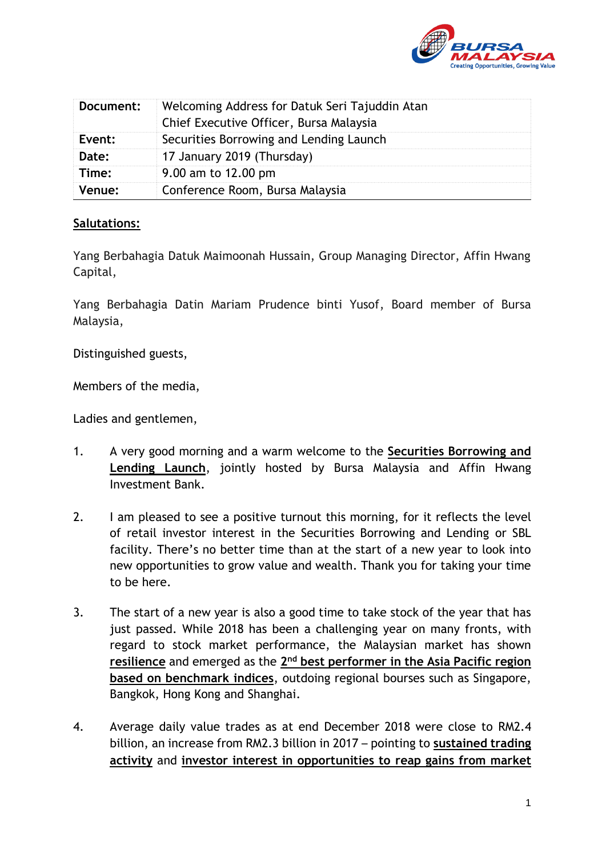

| Document: | Welcoming Address for Datuk Seri Tajuddin Atan<br>Chief Executive Officer, Bursa Malaysia |
|-----------|-------------------------------------------------------------------------------------------|
| Event:    | Securities Borrowing and Lending Launch                                                   |
| Date:     | 17 January 2019 (Thursday)                                                                |
| Time:     | 9.00 am to 12.00 pm                                                                       |
| Venue:    | Conference Room, Bursa Malaysia                                                           |

## **Salutations:**

Yang Berbahagia Datuk Maimoonah Hussain, Group Managing Director, Affin Hwang Capital,

Yang Berbahagia Datin Mariam Prudence binti Yusof, Board member of Bursa Malaysia,

Distinguished guests,

Members of the media,

Ladies and gentlemen,

- 1. A very good morning and a warm welcome to the **Securities Borrowing and Lending Launch**, jointly hosted by Bursa Malaysia and Affin Hwang Investment Bank.
- 2. I am pleased to see a positive turnout this morning, for it reflects the level of retail investor interest in the Securities Borrowing and Lending or SBL facility. There's no better time than at the start of a new year to look into new opportunities to grow value and wealth. Thank you for taking your time to be here.
- 3. The start of a new year is also a good time to take stock of the year that has just passed. While 2018 has been a challenging year on many fronts, with regard to stock market performance, the Malaysian market has shown **resilience** and emerged as the 2<sup>nd</sup> best performer in the Asia Pacific region **based on benchmark indices**, outdoing regional bourses such as Singapore, Bangkok, Hong Kong and Shanghai.
- 4. Average daily value trades as at end December 2018 were close to RM2.4 billion, an increase from RM2.3 billion in 2017 – pointing to **sustained trading activity** and **investor interest in opportunities to reap gains from market**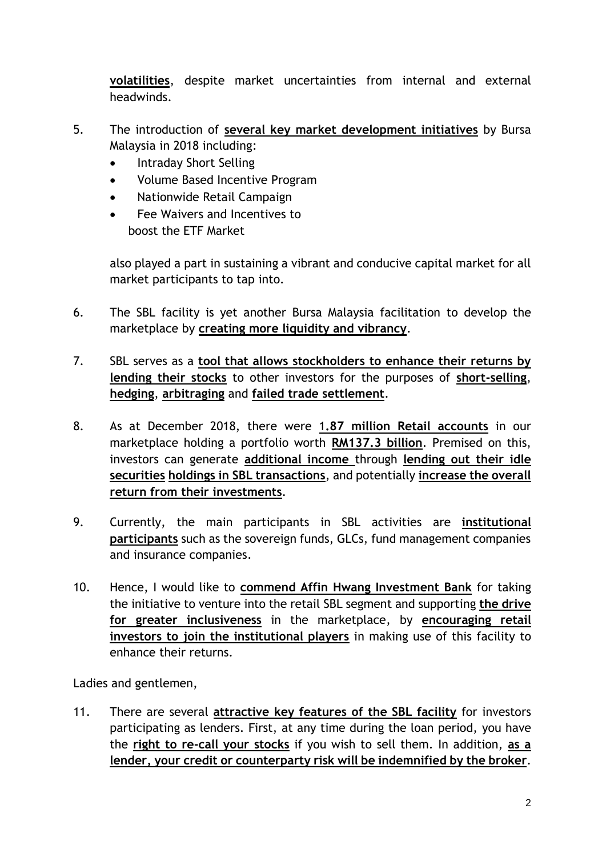**volatilities**, despite market uncertainties from internal and external headwinds.

- 5. The introduction of **several key market development initiatives** by Bursa Malaysia in 2018 including:
	- Intraday Short Selling
	- Volume Based Incentive Program
	- Nationwide Retail Campaign
	- Fee Waivers and Incentives to boost the ETF Market

 also played a part in sustaining a vibrant and conducive capital market for all market participants to tap into.

- 6. The SBL facility is yet another Bursa Malaysia facilitation to develop the marketplace by **creating more liquidity and vibrancy**.
- 7. SBL serves as a **tool that allows stockholders to enhance their returns by lending their stocks** to other investors for the purposes of **short-selling**, **hedging**, **arbitraging** and **failed trade settlement**.
- 8. As at December 2018, there were 1**.87 million Retail accounts** in our marketplace holding a portfolio worth **RM137.3 billion**. Premised on this, investors can generate **additional income** through **lending out their idle securities holdings in SBL transactions**, and potentially **increase the overall return from their investments**.
- 9. Currently, the main participants in SBL activities are **institutional participants** such as the sovereign funds, GLCs, fund management companies and insurance companies.
- 10. Hence, I would like to **commend Affin Hwang Investment Bank** for taking the initiative to venture into the retail SBL segment and supporting **the drive for greater inclusiveness** in the marketplace, by **encouraging retail investors to join the institutional players** in making use of this facility to enhance their returns.

Ladies and gentlemen,

11. There are several **attractive key features of the SBL facility** for investors participating as lenders. First, at any time during the loan period, you have the **right to re-call your stocks** if you wish to sell them. In addition, **as a lender, your credit or counterparty risk will be indemnified by the broker**.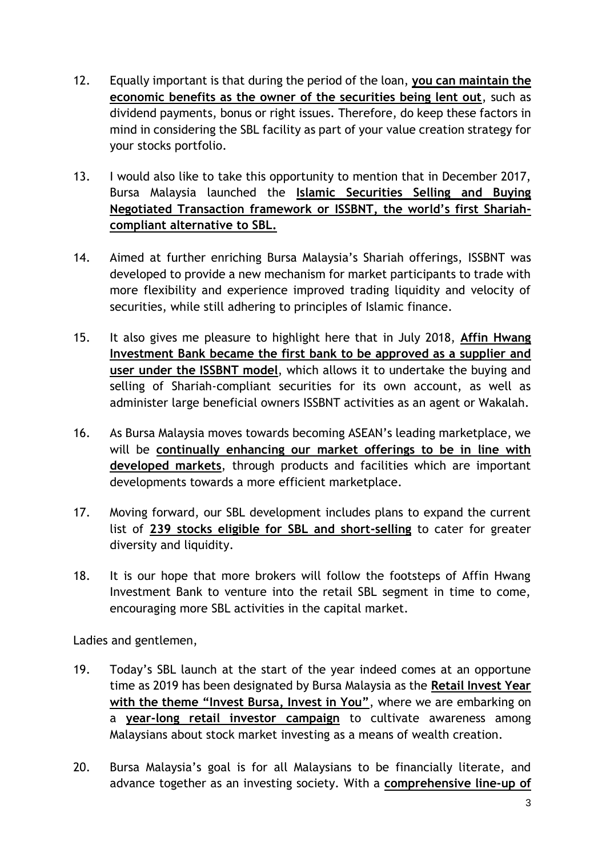- 12. Equally important is that during the period of the loan, **you can maintain the economic benefits as the owner of the securities being lent out**, such as dividend payments, bonus or right issues. Therefore, do keep these factors in mind in considering the SBL facility as part of your value creation strategy for your stocks portfolio.
- 13. I would also like to take this opportunity to mention that in December 2017, Bursa Malaysia launched the **Islamic Securities Selling and Buying Negotiated Transaction framework or ISSBNT, the world's first Shariahcompliant alternative to SBL.**
- 14. Aimed at further enriching Bursa Malaysia's Shariah offerings, ISSBNT was developed to provide a new mechanism for market participants to trade with more flexibility and experience improved trading liquidity and velocity of securities, while still adhering to principles of Islamic finance.
- 15. It also gives me pleasure to highlight here that in July 2018, **Affin Hwang Investment Bank became the first bank to be approved as a supplier and user under the ISSBNT model**, which allows it to undertake the buying and selling of Shariah-compliant securities for its own account, as well as administer large beneficial owners ISSBNT activities as an agent or Wakalah.
- 16. As Bursa Malaysia moves towards becoming ASEAN's leading marketplace, we will be **continually enhancing our market offerings to be in line with developed markets**, through products and facilities which are important developments towards a more efficient marketplace.
- 17. Moving forward, our SBL development includes plans to expand the current list of **239 stocks eligible for SBL and short-selling** to cater for greater diversity and liquidity.
- 18. It is our hope that more brokers will follow the footsteps of Affin Hwang Investment Bank to venture into the retail SBL segment in time to come, encouraging more SBL activities in the capital market.

Ladies and gentlemen,

- 19. Today's SBL launch at the start of the year indeed comes at an opportune time as 2019 has been designated by Bursa Malaysia as the **Retail Invest Year with the theme "Invest Bursa, Invest in You"**, where we are embarking on a **year-long retail investor campaign** to cultivate awareness among Malaysians about stock market investing as a means of wealth creation.
- 20. Bursa Malaysia's goal is for all Malaysians to be financially literate, and advance together as an investing society. With a **comprehensive line-up of**